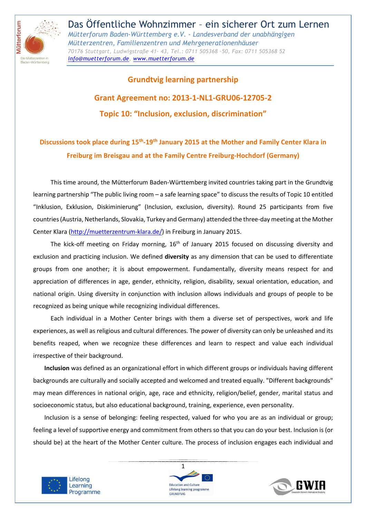

# **Grundtvig learning partnership Grant Agreement no: 2013-1-NL1-GRU06-12705-2 Topic 10: "Inclusion, exclusion, discrimination"**

# **Discussions took place during 15th-19th January 2015 at the Mother and Family Center Klara in Freiburg im Breisgau and at the Family Centre Freiburg-Hochdorf (Germany)**

This time around, the Mütterforum Baden-Württemberg invited countries taking part in the Grundtvig learning partnership "The public living room – a safe learning space" to discuss the results of Topic 10 entitled "Inklusion, Exklusion, Diskiminierung" (Inclusion, exclusion, diversity). Round 25 participants from five countries (Austria, Netherlands, Slovakia, Turkey and Germany) attended the three-day meeting at the Mother Center Klara (http://muetterzentrum-klara.de/) in Freiburg in January 2015.

The kick-off meeting on Friday morning, 16<sup>th</sup> of January 2015 focused on discussing diversity and exclusion and practicing inclusion. We defined **diversity** as any dimension that can be used to differentiate groups from one another; it is about empowerment. Fundamentally, diversity means respect for and appreciation of differences in age, gender, ethnicity, religion, disability, sexual orientation, education, and national origin. Using diversity in conjunction with inclusion allows individuals and groups of people to be recognized as being unique while recognizing individual differences.

Each individual in a Mother Center brings with them a diverse set of perspectives, work and life experiences, as well as religious and cultural differences. The power of diversity can only be unleashed and its benefits reaped, when we recognize these differences and learn to respect and value each individual irrespective of their background.

**Inclusion** was defined as an organizational effort in which different groups or individuals having different backgrounds are culturally and socially accepted and welcomed and treated equally. "Different backgrounds" may mean differences in national origin, age, race and ethnicity, religion/belief, gender, marital status and socioeconomic status, but also educational background, training, experience, even personality.

Inclusion is a sense of belonging: feeling respected, valued for who you are as an individual or group; feeling a level of supportive energy and commitment from others so that you can do your best. Inclusion is (or should be) at the heart of the Mother Center culture. The process of inclusion engages each individual and





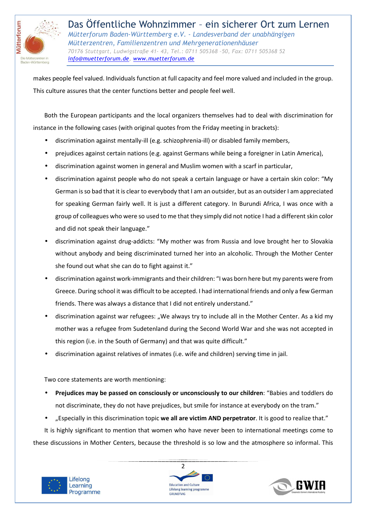

makes people feel valued. Individuals function at full capacity and feel more valued and included in the group. This culture assures that the center functions better and people feel well.

Both the European participants and the local organizers themselves had to deal with discrimination for instance in the following cases (with original quotes from the Friday meeting in brackets):

- discrimination against mentally-ill (e.g. schizophrenia-ill) or disabled family members,
- prejudices against certain nations (e.g. against Germans while being a foreigner in Latin America),
- discrimination against women in general and Muslim women with a scarf in particular,
- discrimination against people who do not speak a certain language or have a certain skin color: "My German is so bad that it is clear to everybody that I am an outsider, but as an outsider I am appreciated for speaking German fairly well. It is just a different category. In Burundi Africa, I was once with a group of colleagues who were so used to me that they simply did not notice I had a different skin color and did not speak their language."
- discrimination against drug-addicts: "My mother was from Russia and love brought her to Slovakia without anybody and being discriminated turned her into an alcoholic. Through the Mother Center she found out what she can do to fight against it."
- discrimination against work-immigrants and their children: "I was born here but my parents were from Greece. During school it was difficult to be accepted. I had international friends and only a few German friends. There was always a distance that I did not entirely understand."
- discrimination against war refugees: "We always try to include all in the Mother Center. As a kid my mother was a refugee from Sudetenland during the Second World War and she was not accepted in this region (i.e. in the South of Germany) and that was quite difficult."
- discrimination against relatives of inmates (i.e. wife and children) serving time in jail.

Two core statements are worth mentioning:

- **Prejudices may be passed on consciously or unconsciously to our children**: "Babies and toddlers do not discriminate, they do not have prejudices, but smile for instance at everybody on the tram."
- "Especially in this discrimination topic **we all are victim AND perpetrator**. It is good to realize that."

It is highly significant to mention that women who have never been to international meetings come to these discussions in Mother Centers, because the threshold is so low and the atmosphere so informal. This





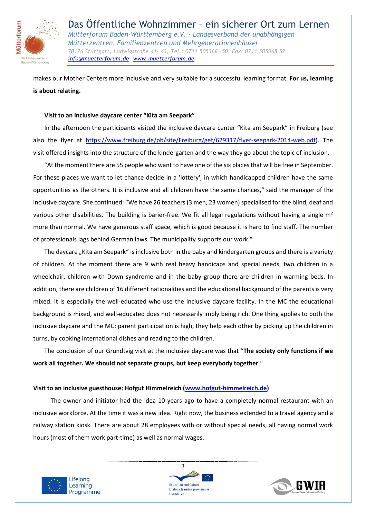

makes our Mother Centers more inclusive and very suitable for a successful learning format. **For us, learning is about relating.**

#### **Visit to an inclusive daycare center "Kita am Seepark"**

In the afternoon the participants visited the inclusive daycare center "Kita am Seepark" in Freiburg (see also the flyer at https://www.freiburg.de/pb/site/Freiburg/get/629317/flyer-seepark-2014-web.pdf). The visit offered insights into the structure of the kindergarten and the way they go about the topic of inclusion.

"At the moment there are 55 people who want to have one of the six places that will be free in September. For these places we want to let chance decide in a 'lottery', in which handicapped children have the same opportunities as the others. It is inclusive and all children have the same chances," said the manager of the inclusive daycare. She continued: "We have 26 teachers (3 men, 23 women) specialised for the blind, deaf and various other disabilities. The building is barier-free. We fit all legal regulations without having a single  $m<sup>2</sup>$ more than normal. We have generous staff space, which is good because it is hard to find staff. The number of professionals lags behind German laws. The municipality supports our work."

The daycare "Kita am Seepark" is inclusive both in the baby and kindergarten groups and there is a variety of children. At the moment there are 9 with real heavy handicaps and special needs, two children in a wheelchair, children with Down syndrome and in the baby group there are children in warming beds. In addition, there are children of 16 different nationalities and the educational background of the parents is very mixed. It is especially the well-educated who use the inclusive daycare facility. In the MC the educational background is mixed, and well-educated does not necessarily imply being rich. One thing applies to both the inclusive daycare and the MC: parent participation is high, they help each other by picking up the children in turns, by cooking international dishes and reading to the children.

The conclusion of our Grundtvig visit at the inclusive daycare was that "**The society only functions if we work all together. We should not separate groups, but keep everybody together**."

#### **Visit to an inclusive guesthouse: Hofgut Himmelreich (www.hofgut-himmelreich.de)**

The owner and initiator had the idea 10 years ago to have a completely normal restaurant with an inclusive workforce. At the time it was a new idea. Right now, the business extended to a travel agency and a railway station kiosk. There are about 28 employees with or without special needs, all having normal work hours (most of them work part-time) as well as normal wages.





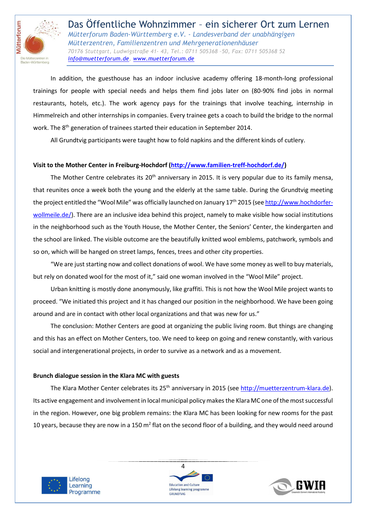

 In addition, the guesthouse has an indoor inclusive academy offering 18-month-long professional trainings for people with special needs and helps them find jobs later on (80-90% find jobs in normal restaurants, hotels, etc.). The work agency pays for the trainings that involve teaching, internship in Himmelreich and other internships in companies. Every trainee gets a coach to build the bridge to the normal work. The 8<sup>th</sup> generation of trainees started their education in September 2014.

All Grundtvig participants were taught how to fold napkins and the different kinds of cutlery.

# **Visit to the Mother Center in Freiburg-Hochdorf (http://www.familien-treff-hochdorf.de/)**

The Mother Centre celebrates its 20<sup>th</sup> anniversary in 2015. It is very popular due to its family mensa, that reunites once a week both the young and the elderly at the same table. During the Grundtvig meeting the project entitled the "Wool Mile" was officially launched on January 17<sup>th</sup> 2015 (see http://www.hochdorferwollmeile.de/). There are an inclusive idea behind this project, namely to make visible how social institutions in the neighborhood such as the Youth House, the Mother Center, the Seniors' Center, the kindergarten and the school are linked. The visible outcome are the beautifully knitted wool emblems, patchwork, symbols and so on, which will be hanged on street lamps, fences, trees and other city properties.

"We are just starting now and collect donations of wool. We have some money as well to buy materials, but rely on donated wool for the most of it," said one woman involved in the "Wool Mile" project.

 Urban knitting is mostly done anonymously, like graffiti. This is not how the Wool Mile project wants to proceed. "We initiated this project and it has changed our position in the neighborhood. We have been going around and are in contact with other local organizations and that was new for us."

The conclusion: Mother Centers are good at organizing the public living room. But things are changing and this has an effect on Mother Centers, too. We need to keep on going and renew constantly, with various social and intergenerational projects, in order to survive as a network and as a movement.

### **Brunch dialogue session in the Klara MC with guests**

The Klara Mother Center celebrates its 25<sup>th</sup> anniversary in 2015 (see http://muetterzentrum-klara.de). Its active engagement and involvement in local municipal policy makes the Klara MC one of the most successful in the region. However, one big problem remains: the Klara MC has been looking for new rooms for the past 10 years, because they are now in a 150 m<sup>2</sup> flat on the second floor of a building, and they would need around





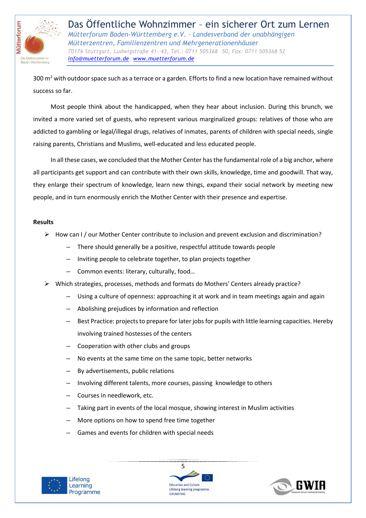

300 m<sup>2</sup> with outdoor space such as a terrace or a garden. Efforts to find a new location have remained without success so far.

 Most people think about the handicapped, when they hear about inclusion. During this brunch, we invited a more varied set of guests, who represent various marginalized groups: relatives of those who are addicted to gambling or legal/illegal drugs, relatives of inmates, parents of children with special needs, single raising parents, Christians and Muslims, well-educated and less educated people.

In all these cases, we concluded that the Mother Center has the fundamental role of a big anchor, where all participants get support and can contribute with their own skills, knowledge, time and goodwill. That way, they enlarge their spectrum of knowledge, learn new things, expand their social network by meeting new people, and in turn enormously enrich the Mother Center with their presence and expertise.

#### **Results**

- $\triangleright$  How can I / our Mother Center contribute to inclusion and prevent exclusion and discrimination?
	- There should generally be a positive, respectful attitude towards people
	- Inviting people to celebrate together, to plan projects together
	- Common events: literary, culturally, food…
- Which strategies, processes, methods and formats do Mothers' Centers already practice?
	- Using a culture of openness: approaching it at work and in team meetings again and again
	- Abolishing prejudices by information and reflection
	- Best Practice: projects to prepare for later jobs for pupils with little learning capacities. Hereby involving trained hostesses of the centers
	- Cooperation with other clubs and groups
	- No events at the same time on the same topic, better networks
	- By advertisements, public relations
	- Involving different talents, more courses, passing knowledge to others
	- Courses in needlework, etc.
	- Taking part in events of the local mosque, showing interest in Muslim activities
	- More options on how to spend free time together
	- Games and events for children with special needs





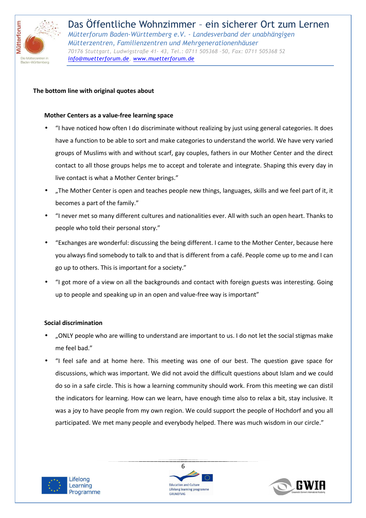

## **The bottom line with original quotes about**

#### **Mother Centers as a value-free learning space**

- "I have noticed how often I do discriminate without realizing by just using general categories. It does have a function to be able to sort and make categories to understand the world. We have very varied groups of Muslims with and without scarf, gay couples, fathers in our Mother Center and the direct contact to all those groups helps me to accept and tolerate and integrate. Shaping this every day in live contact is what a Mother Center brings."
- "The Mother Center is open and teaches people new things, languages, skills and we feel part of it, it becomes a part of the family."
- "I never met so many different cultures and nationalities ever. All with such an open heart. Thanks to people who told their personal story."
- "Exchanges are wonderful: discussing the being different. I came to the Mother Center, because here you always find somebody to talk to and that is different from a café. People come up to me and I can go up to others. This is important for a society."
- "I got more of a view on all the backgrounds and contact with foreign guests was interesting. Going up to people and speaking up in an open and value-free way is important"

#### **Social discrimination**

- "ONLY people who are willing to understand are important to us. I do not let the social stigmas make me feel bad."
- "I feel safe and at home here. This meeting was one of our best. The question gave space for discussions, which was important. We did not avoid the difficult questions about Islam and we could do so in a safe circle. This is how a learning community should work. From this meeting we can distil the indicators for learning. How can we learn, have enough time also to relax a bit, stay inclusive. It was a joy to have people from my own region. We could support the people of Hochdorf and you all participated. We met many people and everybody helped. There was much wisdom in our circle."